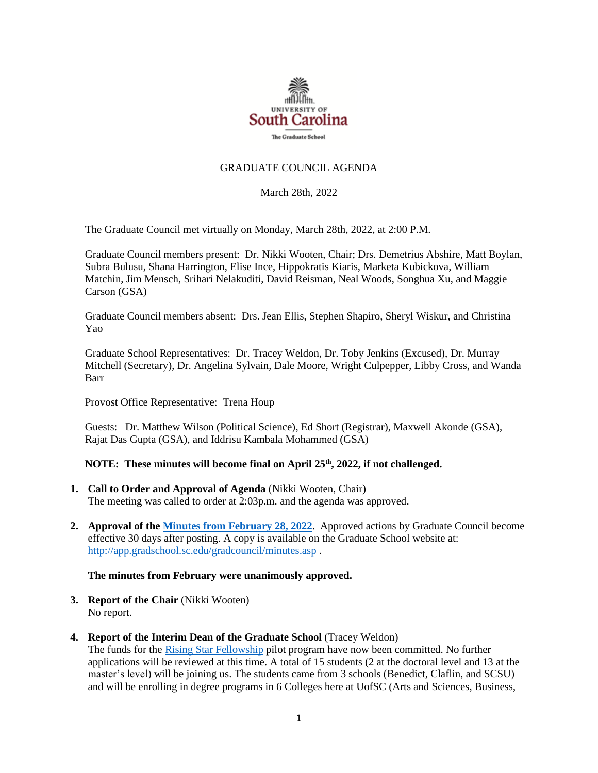

## GRADUATE COUNCIL AGENDA

March 28th, 2022

The Graduate Council met virtually on Monday, March 28th, 2022, at 2:00 P.M.

Graduate Council members present: Dr. Nikki Wooten, Chair; Drs. Demetrius Abshire, Matt Boylan, Subra Bulusu, Shana Harrington, Elise Ince, Hippokratis Kiaris, Marketa Kubickova, William Matchin, Jim Mensch, Srihari Nelakuditi, David Reisman, Neal Woods, Songhua Xu, and Maggie Carson (GSA)

Graduate Council members absent: Drs. Jean Ellis, Stephen Shapiro, Sheryl Wiskur, and Christina Yao

Graduate School Representatives: Dr. Tracey Weldon, Dr. Toby Jenkins (Excused), Dr. Murray Mitchell (Secretary), Dr. Angelina Sylvain, Dale Moore, Wright Culpepper, Libby Cross, and Wanda Barr

Provost Office Representative: Trena Houp

Guests: Dr. Matthew Wilson (Political Science), Ed Short (Registrar), Maxwell Akonde (GSA), Rajat Das Gupta (GSA), and Iddrisu Kambala Mohammed (GSA)

# **NOTE: These minutes will become final on April 25 th, 2022, if not challenged.**

- **1. Call to Order and Approval of Agenda** (Nikki Wooten, Chair) The meeting was called to order at 2:03p.m. and the agenda was approved.
- **2. Approval of th[e Minutes from February 28, 2022](file://///COSSLAOthello.ds.sc.edu/MIRROR/GRAD/wandab/Profile/Documents/Agendas%20and%20Minutes/GCMINUTES2.28.22%20MM.pdf)**. Approved actions by Graduate Council become effective 30 days after posting. A copy is available on the Graduate School website at: <http://app.gradschool.sc.edu/gradcouncil/minutes.asp> .

#### **The minutes from February were unanimously approved.**

- **3. Report of the Chair** (Nikki Wooten) No report.
- **4. Report of the Interim Dean of the Graduate School** (Tracey Weldon)

The funds for the [Rising Star Fellowship](https://sc.edu/study/colleges_schools/graduate_school/opportunities_support/scholarly_initiatives/rising-star-fellowship/index.php) pilot program have now been committed. No further applications will be reviewed at this time. A total of 15 students (2 at the doctoral level and 13 at the master's level) will be joining us. The students came from 3 schools (Benedict, Claflin, and SCSU) and will be enrolling in degree programs in 6 Colleges here at UofSC (Arts and Sciences, Business,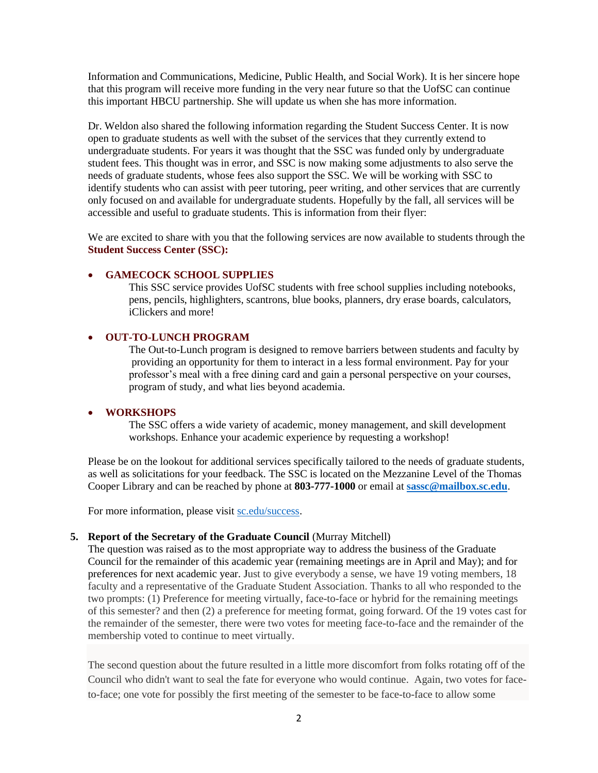Information and Communications, Medicine, Public Health, and Social Work). It is her sincere hope that this program will receive more funding in the very near future so that the UofSC can continue this important HBCU partnership. She will update us when she has more information.

Dr. Weldon also shared the following information regarding the Student Success Center. It is now open to graduate students as well with the subset of the services that they currently extend to undergraduate students. For years it was thought that the SSC was funded only by undergraduate student fees. This thought was in error, and SSC is now making some adjustments to also serve the needs of graduate students, whose fees also support the SSC. We will be working with SSC to identify students who can assist with peer tutoring, peer writing, and other services that are currently only focused on and available for undergraduate students. Hopefully by the fall, all services will be accessible and useful to graduate students. This is information from their flyer:

We are excited to share with you that the following services are now available to students through the **Student Success Center (SSC):**

#### • **GAMECOCK SCHOOL SUPPLIES**

This SSC service provides UofSC students with free school supplies including notebooks, pens, pencils, highlighters, scantrons, blue books, planners, dry erase boards, calculators, iClickers and more!

#### • **OUT-TO-LUNCH PROGRAM**

The Out-to-Lunch program is designed to remove barriers between students and faculty by providing an opportunity for them to interact in a less formal environment. Pay for your professor's meal with a free dining card and gain a personal perspective on your courses, program of study, and what lies beyond academia.

### • **WORKSHOPS**

The SSC offers a wide variety of academic, money management, and skill development workshops. Enhance your academic experience by requesting a workshop!

Please be on the lookout for additional services specifically tailored to the needs of graduate students, as well as solicitations for your feedback. The SSC is located on the Mezzanine Level of the Thomas Cooper Library and can be reached by phone at **803-777-1000** or email at **[sassc@mailbox.sc.edu](mailto:sassc@mailbox.sc.edu)**.

For more information, please visi[t sc.edu/success.](https://sc.edu/about/offices_and_divisions/student_success_center/index.php)

### **5. Report of the Secretary of the Graduate Council** (Murray Mitchell)

The question was raised as to the most appropriate way to address the business of the Graduate Council for the remainder of this academic year (remaining meetings are in April and May); and for preferences for next academic year. Just to give everybody a sense, we have 19 voting members, 18 faculty and a representative of the Graduate Student Association. Thanks to all who responded to the two prompts: (1) Preference for meeting virtually, face-to-face or hybrid for the remaining meetings of this semester? and then (2) a preference for meeting format, going forward. Of the 19 votes cast for the remainder of the semester, there were two votes for meeting face-to-face and the remainder of the membership voted to continue to meet virtually.

The second question about the future resulted in a little more discomfort from folks rotating off of the Council who didn't want to seal the fate for everyone who would continue. Again, two votes for faceto-face; one vote for possibly the first meeting of the semester to be face-to-face to allow some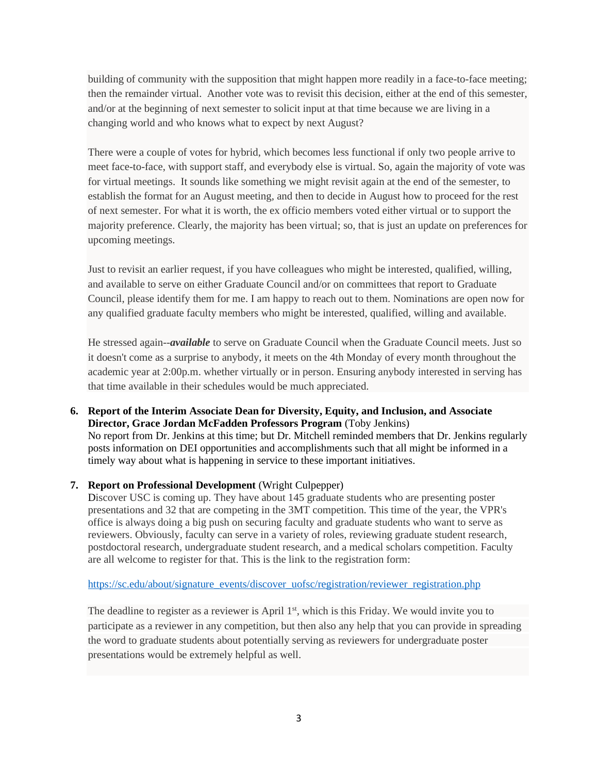building of community with the supposition that might happen more readily in a face-to-face meeting; then the remainder virtual. Another vote was to revisit this decision, either at the end of this semester, and/or at the beginning of next semester to solicit input at that time because we are living in a changing world and who knows what to expect by next August?

There were a couple of votes for hybrid, which becomes less functional if only two people arrive to meet face-to-face, with support staff, and everybody else is virtual. So, again the majority of vote was for virtual meetings. It sounds like something we might revisit again at the end of the semester, to establish the format for an August meeting, and then to decide in August how to proceed for the rest of next semester. For what it is worth, the ex officio members voted either virtual or to support the majority preference. Clearly, the majority has been virtual; so, that is just an update on preferences for upcoming meetings.

Just to revisit an earlier request, if you have colleagues who might be interested, qualified, willing, and available to serve on either Graduate Council and/or on committees that report to Graduate Council, please identify them for me. I am happy to reach out to them. Nominations are open now for any qualified graduate faculty members who might be interested, qualified, willing and available.

He stressed again--*available* to serve on Graduate Council when the Graduate Council meets. Just so it doesn't come as a surprise to anybody, it meets on the 4th Monday of every month throughout the academic year at 2:00p.m. whether virtually or in person. Ensuring anybody interested in serving has that time available in their schedules would be much appreciated.

**6. Report of the Interim Associate Dean for Diversity, Equity, and Inclusion, and Associate Director, Grace Jordan McFadden Professors Program** (Toby Jenkins) No report from Dr. Jenkins at this time; but Dr. Mitchell reminded members that Dr. Jenkins regularly posts information on DEI opportunities and accomplishments such that all might be informed in a timely way about what is happening in service to these important initiatives.

# **7. Report on Professional Development** (Wright Culpepper)

Discover USC is coming up. They have about 145 graduate students who are presenting poster presentations and 32 that are competing in the 3MT competition. This time of the year, the VPR's office is always doing a big push on securing faculty and graduate students who want to serve as reviewers. Obviously, faculty can serve in a variety of roles, reviewing graduate student research, postdoctoral research, undergraduate student research, and a medical scholars competition. Faculty are all welcome to register for that. This is the link to the registration form:

[https://sc.edu/about/signature\\_events/discover\\_uofsc/registration/reviewer\\_registration.php](https://sc.edu/about/signature_events/discover_uofsc/registration/reviewer_registration.php)

The deadline to register as a reviewer is April 1<sup>st</sup>, which is this Friday. We would invite you to participate as a reviewer in any competition, but then also any help that you can provide in spreading the word to graduate students about potentially serving as reviewers for undergraduate poster presentations would be extremely helpful as well.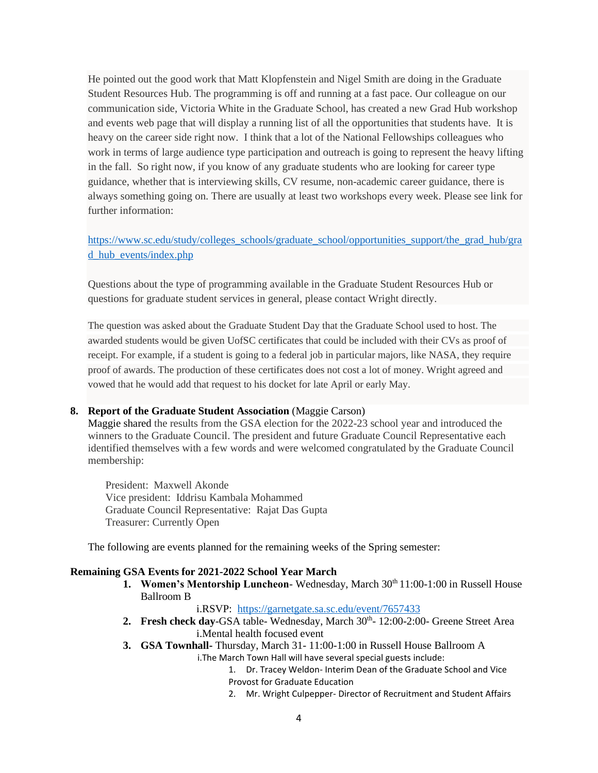He pointed out the good work that Matt Klopfenstein and Nigel Smith are doing in the Graduate Student Resources Hub. The programming is off and running at a fast pace. Our colleague on our communication side, Victoria White in the Graduate School, has created a new Grad Hub workshop and events web page that will display a running list of all the opportunities that students have. It is heavy on the career side right now. I think that a lot of the National Fellowships colleagues who work in terms of large audience type participation and outreach is going to represent the heavy lifting in the fall. So right now, if you know of any graduate students who are looking for career type guidance, whether that is interviewing skills, CV resume, non-academic career guidance, there is always something going on. There are usually at least two workshops every week. Please see link for further information:

[https://www.sc.edu/study/colleges\\_schools/graduate\\_school/opportunities\\_support/the\\_grad\\_hub/gra](https://www.sc.edu/study/colleges_schools/graduate_school/opportunities_support/the_grad_hub/grad_hub_events/index.php) [d\\_hub\\_events/index.php](https://www.sc.edu/study/colleges_schools/graduate_school/opportunities_support/the_grad_hub/grad_hub_events/index.php)

Questions about the type of programming available in the Graduate Student Resources Hub or questions for graduate student services in general, please contact Wright directly.

The question was asked about the Graduate Student Day that the Graduate School used to host. The awarded students would be given UofSC certificates that could be included with their CVs as proof of receipt. For example, if a student is going to a federal job in particular majors, like NASA, they require proof of awards. The production of these certificates does not cost a lot of money. Wright agreed and vowed that he would add that request to his docket for late April or early May.

#### **8. Report of the Graduate Student Association** (Maggie Carson)

Maggie shared the results from the GSA election for the 2022-23 school year and introduced the winners to the Graduate Council. The president and future Graduate Council Representative each identified themselves with a few words and were welcomed congratulated by the Graduate Council membership:

President: Maxwell Akonde Vice president: Iddrisu Kambala Mohammed Graduate Council Representative: Rajat Das Gupta Treasurer: Currently Open

The following are events planned for the remaining weeks of the Spring semester:

### **Remaining GSA Events for 2021-2022 School Year March**

**1. Women's Mentorship Luncheon-** Wednesday, March 30th 11:00-1:00 in Russell House Ballroom B

i.RSVP: <https://garnetgate.sa.sc.edu/event/7657433>

- 2. Fresh check day-GSA table- Wednesday, March 30<sup>th</sup>- 12:00-2:00- Greene Street Area i.Mental health focused event
- **3. GSA Townhall-** Thursday, March 31- 11:00-1:00 in Russell House Ballroom A

i.The March Town Hall will have several special guests include:

- 1. Dr. Tracey Weldon- Interim Dean of the Graduate School and Vice Provost for Graduate Education
- 2. Mr. Wright Culpepper- Director of Recruitment and Student Affairs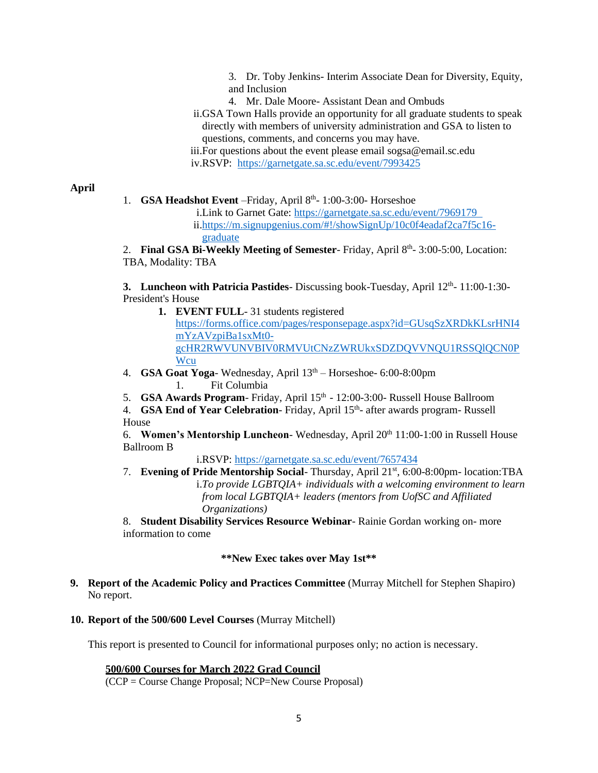3. Dr. Toby Jenkins- Interim Associate Dean for Diversity, Equity, and Inclusion

- 4. Mr. Dale Moore- Assistant Dean and Ombuds
- ii.GSA Town Halls provide an opportunity for all graduate students to speak directly with members of university administration and GSA to listen to questions, comments, and concerns you may have.
- iii.For questions about the event please email sogsa@email.sc.edu iv.RSVP: <https://garnetgate.sa.sc.edu/event/7993425>

**April**

- 1. **GSA Headshot Event** Friday, April 8<sup>th</sup>-1:00-3:00- Horseshoe
	- i.Link to Garnet Gate: [https://garnetgate.sa.sc.edu/event/7969179](https://garnetgate.sa.sc.edu/event/7969179  )  ii[.https://m.signupgenius.com/#!/showSignUp/10c0f4eadaf2ca7f5c16](https://m.signupgenius.com/#!/showSignUp/10c0f4eadaf2ca7f5c16-graduate) [graduate](https://m.signupgenius.com/#!/showSignUp/10c0f4eadaf2ca7f5c16-graduate)

2. Final GSA Bi-Weekly Meeting of Semester-Friday, April 8<sup>th</sup>-3:00-5:00, Location: TBA, Modality: TBA

**3. Luncheon with Patricia Pastides**-Discussing book-Tuesday, April 12<sup>th</sup>-11:00-1:30-President's House

- **1. EVENT FULL** 31 students registered [https://forms.office.com/pages/responsepage.aspx?id=GUsqSzXRDkKLsrHNI4](https://forms.office.com/pages/responsepage.aspx?id=GUsqSzXRDkKLsrHNI4mYzAVzpiBa1sxMt0-gcHR2RWVUNVBIV0RMVUtCNzZWRUkxSDZDQVVNQU1RSSQlQCN0PWcu) [mYzAVzpiBa1sxMt0](https://forms.office.com/pages/responsepage.aspx?id=GUsqSzXRDkKLsrHNI4mYzAVzpiBa1sxMt0-gcHR2RWVUNVBIV0RMVUtCNzZWRUkxSDZDQVVNQU1RSSQlQCN0PWcu) [gcHR2RWVUNVBIV0RMVUtCNzZWRUkxSDZDQVVNQU1RSSQlQCN0P](https://forms.office.com/pages/responsepage.aspx?id=GUsqSzXRDkKLsrHNI4mYzAVzpiBa1sxMt0-gcHR2RWVUNVBIV0RMVUtCNzZWRUkxSDZDQVVNQU1RSSQlQCN0PWcu) [Wcu](https://forms.office.com/pages/responsepage.aspx?id=GUsqSzXRDkKLsrHNI4mYzAVzpiBa1sxMt0-gcHR2RWVUNVBIV0RMVUtCNzZWRUkxSDZDQVVNQU1RSSQlQCN0PWcu)
- 4. **GSA Goat Yoga** Wednesday, April 13th Horseshoe- 6:00-8:00pm 1. Fit Columbia
- 5. **GSA Awards Program** Friday, April 15<sup>th</sup> 12:00-3:00- Russell House Ballroom
- 4. **GSA End of Year Celebration** Friday, April 15<sup>th</sup>- after awards program- Russell House

6. **Women's Mentorship Luncheon-** Wednesday, April 20<sup>th</sup> 11:00-1:00 in Russell House Ballroom B

i.RSVP:<https://garnetgate.sa.sc.edu/event/7657434>

7. **Evening of Pride Mentorship Social**- Thursday, April 21st, 6:00-8:00pm- location:TBA i.*To provide LGBTQIA+ individuals with a welcoming environment to learn from local LGBTQIA+ leaders (mentors from UofSC and Affiliated Organizations)*

8. **Student Disability Services Resource Webinar**- Rainie Gordan working on- more information to come

# **\*\*New Exec takes over May 1st\*\***

- **9. Report of the Academic Policy and Practices Committee** (Murray Mitchell for Stephen Shapiro) No report.
- **10. Report of the 500/600 Level Courses** (Murray Mitchell)

This report is presented to Council for informational purposes only; no action is necessary.

# **500/600 Courses for March 2022 Grad Council**

(CCP = Course Change Proposal; NCP=New Course Proposal)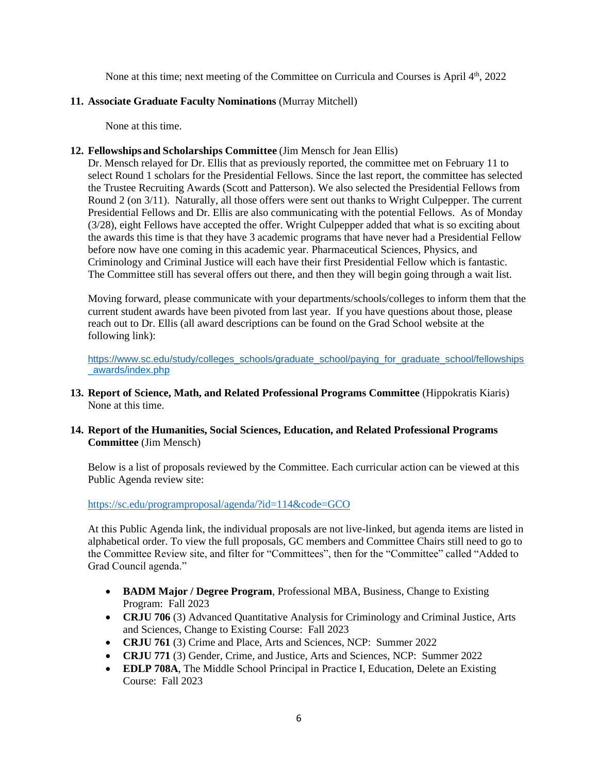None at this time; next meeting of the Committee on Curricula and Courses is April 4<sup>th</sup>, 2022

## **11. Associate Graduate Faculty Nominations** (Murray Mitchell)

None at this time.

## **12. Fellowships and Scholarships Committee** (Jim Mensch for Jean Ellis)

Dr. Mensch relayed for Dr. Ellis that as previously reported, the committee met on February 11 to select Round 1 scholars for the Presidential Fellows. Since the last report, the committee has selected the Trustee Recruiting Awards (Scott and Patterson). We also selected the Presidential Fellows from Round 2 (on 3/11). Naturally, all those offers were sent out thanks to Wright Culpepper. The current Presidential Fellows and Dr. Ellis are also communicating with the potential Fellows. As of Monday (3/28), eight Fellows have accepted the offer. Wright Culpepper added that what is so exciting about the awards this time is that they have 3 academic programs that have never had a Presidential Fellow before now have one coming in this academic year. Pharmaceutical Sciences, Physics, and Criminology and Criminal Justice will each have their first Presidential Fellow which is fantastic. The Committee still has several offers out there, and then they will begin going through a wait list.

Moving forward, please communicate with your departments/schools/colleges to inform them that the current student awards have been pivoted from last year. If you have questions about those, please reach out to Dr. Ellis (all award descriptions can be found on the Grad School website at the following link):

[https://www.sc.edu/study/colleges\\_schools/graduate\\_school/paying\\_for\\_graduate\\_school/fellowships](https://www.sc.edu/study/colleges_schools/graduate_school/paying_for_graduate_school/fellowships_awards/index.php) [\\_awards/index.php](https://www.sc.edu/study/colleges_schools/graduate_school/paying_for_graduate_school/fellowships_awards/index.php)

- **13. Report of Science, Math, and Related Professional Programs Committee** (Hippokratis Kiaris) None at this time.
- **14. Report of the Humanities, Social Sciences, Education, and Related Professional Programs Committee** (Jim Mensch)

Below is a list of proposals reviewed by the Committee. Each curricular action can be viewed at this Public Agenda review site:

<https://sc.edu/programproposal/agenda/?id=114&code=GCO>

At this Public Agenda link, the individual proposals are not live-linked, but agenda items are listed in alphabetical order. To view the full proposals, GC members and Committee Chairs still need to go to the Committee Review site, and filter for "Committees", then for the "Committee" called "Added to Grad Council agenda."

- **BADM Major / Degree Program**, Professional MBA, Business, Change to Existing Program: Fall 2023
- **CRJU 706** (3) Advanced Quantitative Analysis for Criminology and Criminal Justice, Arts and Sciences, Change to Existing Course: Fall 2023
- **CRJU 761** (3) Crime and Place, Arts and Sciences, NCP: Summer 2022
- **CRJU 771** (3) Gender, Crime, and Justice, Arts and Sciences, NCP: Summer 2022
- **EDLP 708A**, The Middle School Principal in Practice I, Education, Delete an Existing Course: Fall 2023